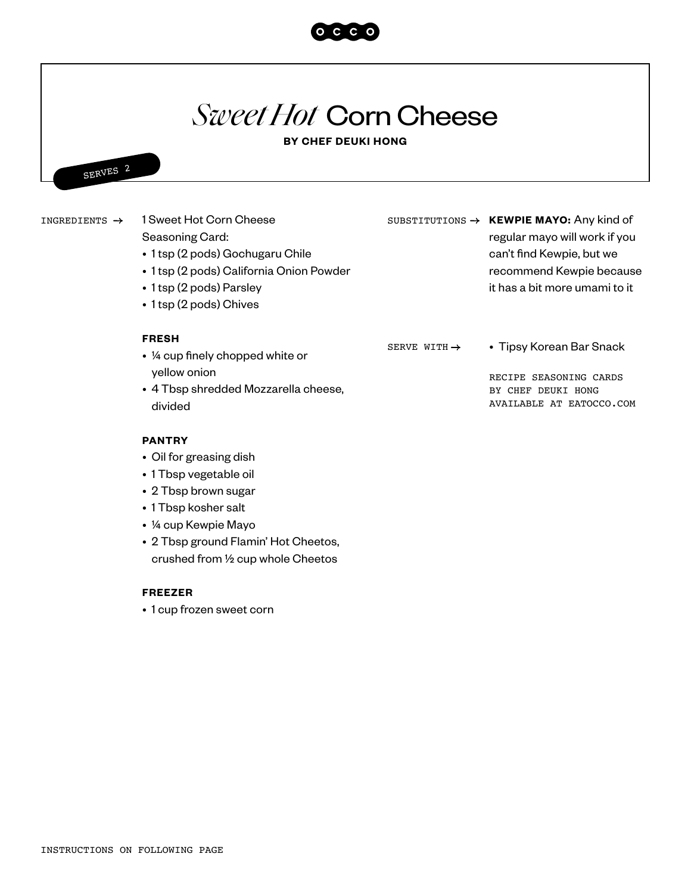

# *Sweet Hot* Corn Cheese

# **BY CHEF DEUKI HONG**



1 Sweet Hot Corn Cheese Seasoning Card: • 1 tsp (2 pods) Gochugaru Chile • 1 tsp (2 pods) California Onion Powder • 1 tsp (2 pods) Parsley • 1 tsp (2 pods) Chives INGREDIENTS  $\rightarrow$ SUBSTITUTIONS  $\rightarrow$  **KEWPIE MAYO:** Any kind of regular mayo will work if you can't find Kewpie, but we recommend Kewpie because it has a bit more umami to it

#### **FRESH**

SERVE WITH  $\rightarrow$ 

RECIPE SEASONING CARDS BY CHEF DEUKI HONG

• Tipsy Korean Bar Snack

AVAILABLE AT EATOCCO.COM

## **PANTRY**

divided

• Oil for greasing dish

yellow onion

• ¼ cup finely chopped white or

• 4 Tbsp shredded Mozzarella cheese,

- 1 Tbsp vegetable oil
- 2 Tbsp brown sugar
- 1 Tbsp kosher salt
- ¼ cup Kewpie Mayo
- 2 Tbsp ground Flamin' Hot Cheetos, crushed from ½ cup whole Cheetos

## **FREEZER**

• 1 cup frozen sweet corn